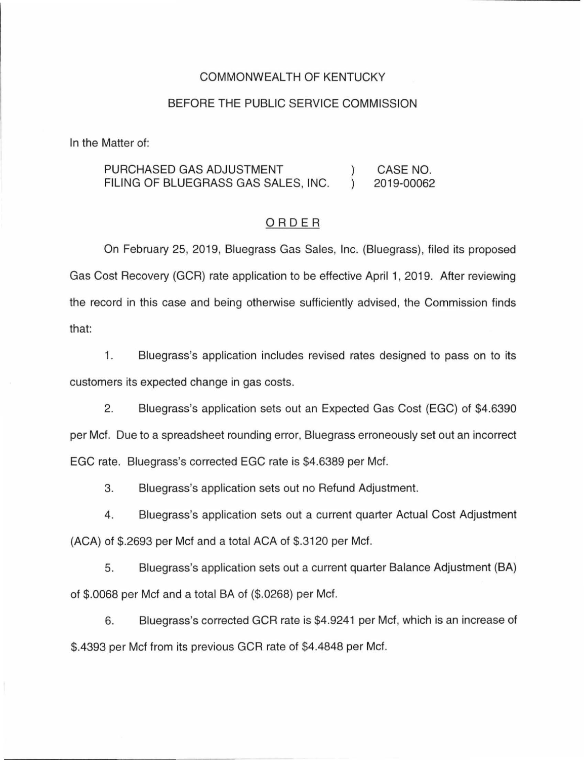### COMMONWEALTH OF KENTUCKY

#### BEFORE THE PUBLIC SERVICE COMMISSION

In the Matter of:

PURCHASED GAS ADJUSTMENT CASE NO.  $\mathcal{L}$ FILING OF BLUEGRASS GAS SALES, INC.  $\lambda$ 2019-00062

### ORDER

On February 25, 2019, Bluegrass Gas Sales, Inc. (Bluegrass), filed its proposed Gas Cost Recovery (GCR) rate application to be effective April 1, 2019. After reviewing the record in this case and being otherwise sufficiently advised, the Commission finds that:

1 . Bluegrass's application includes revised rates designed to pass on to its customers its expected change in gas costs.

2. Bluegrass's application sets out an Expected Gas Cost (EGC) of \$4.6390 per Mcf. Due to a spreadsheet rounding error, Bluegrass erroneously set out an incorrect EGC rate. Bluegrass's corrected EGC rate is \$4.6389 per Met.

3. Bluegrass's application sets out no Refund Adjustment.

4. Bluegrass's application sets out a current quarter Actual Cost Adjustment (ACA) of \$.2693 per Met and a total ACA of \$.3120 per Mcf.

5. Bluegrass's application sets out a current quarter Balance Adjustment (BA) of \$.0068 per Met and a total BA of (\$.0268) per Met.

6. Bluegrass's corrected GCR rate is \$4.9241 per Met, which is an increase of \$.4393 per Met from its previous GCR rate of \$4.4848 per Met.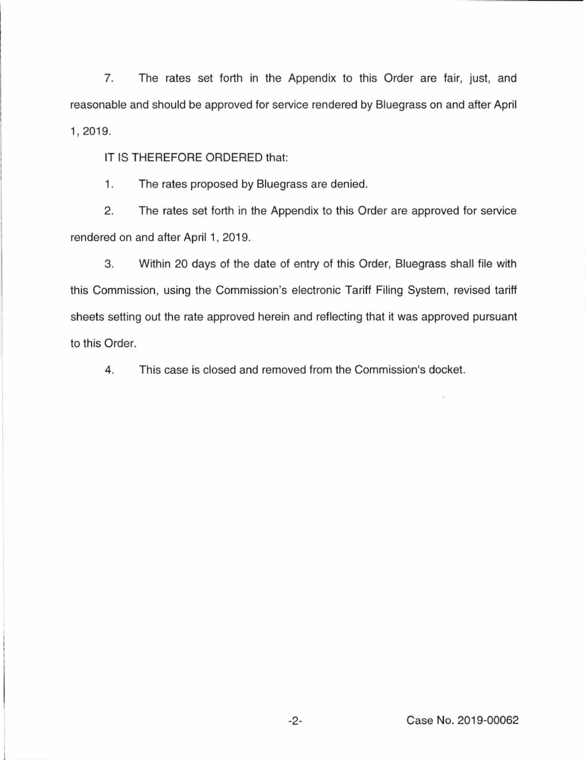7. The rates set forth in the Appendix to this Order are fair, just, and reasonable and should be approved for service rendered by Bluegrass on and after April 1, 2019.

IT IS THEREFORE ORDERED that:

1. The rates proposed by Bluegrass are denied.

2. The rates set forth in the Appendix to this Order are approved for service rendered on and after April 1, 2019.

3. Within 20 days of the date of entry of this Order, Bluegrass shall tile with this Commission, using the Commission's electronic Tariff Filing System, revised tariff sheets setting out the rate approved herein and reflecting that it was approved pursuant to this Order.

4. This case is closed and removed from the Commission's docket.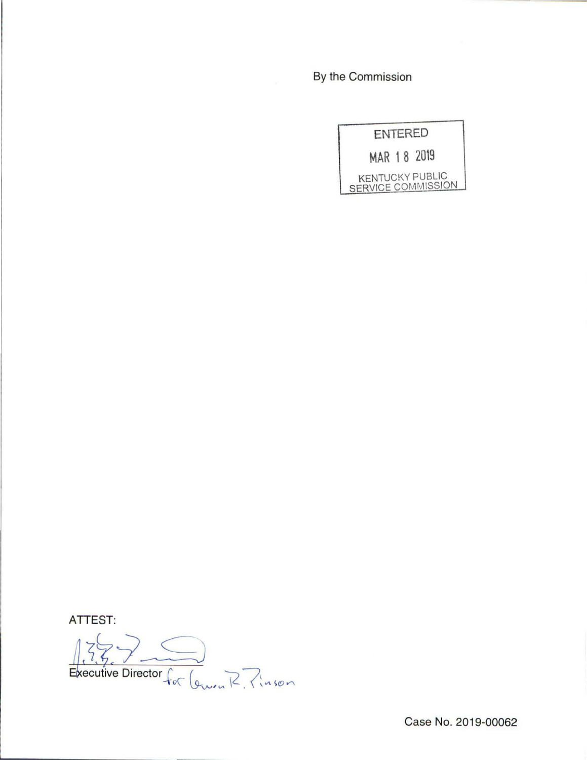By the Commission

|             | <b>ENTERED</b> |                                              |
|-------------|----------------|----------------------------------------------|
| MAR 18 2019 |                |                                              |
|             |                | <b>KENTUCKY PUBLIC</b><br>SERVICE COMMISSION |

ATTEST:

ecutive Director  $\int_{a}^{b}$  (  $\rightarrow$  7.  $+\circ\infty$  lewen  $K$ ,  $\{infty$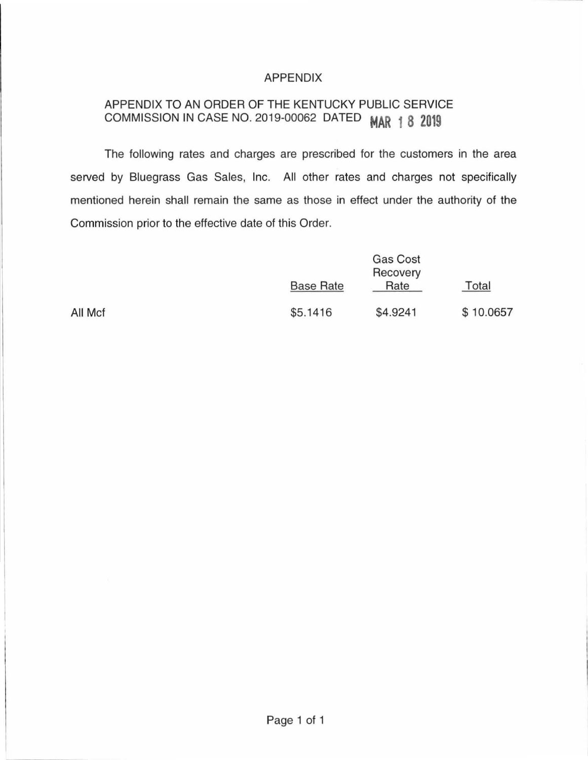## APPENDIX

# APPENDIX TO AN ORDER OF THE KENTUCKY PUBLIC SERVICE COMMISSION IN CASE NO. 2019-00062 DATED **MAR 1 8 2019**

The following rates and charges are prescribed for the customers in the area served by Bluegrass Gas Sales, Inc. All other rates and charges not specifically mentioned herein shall remain the same as those in effect under the authority of the Commission prior to the effective date of this Order.

All Mcf

| Gas Cost<br>Recovery |          |           |
|----------------------|----------|-----------|
| <b>Base Rate</b>     | Rate     | Total     |
| \$5.1416             | \$4.9241 | \$10.0657 |

Page 1 of 1